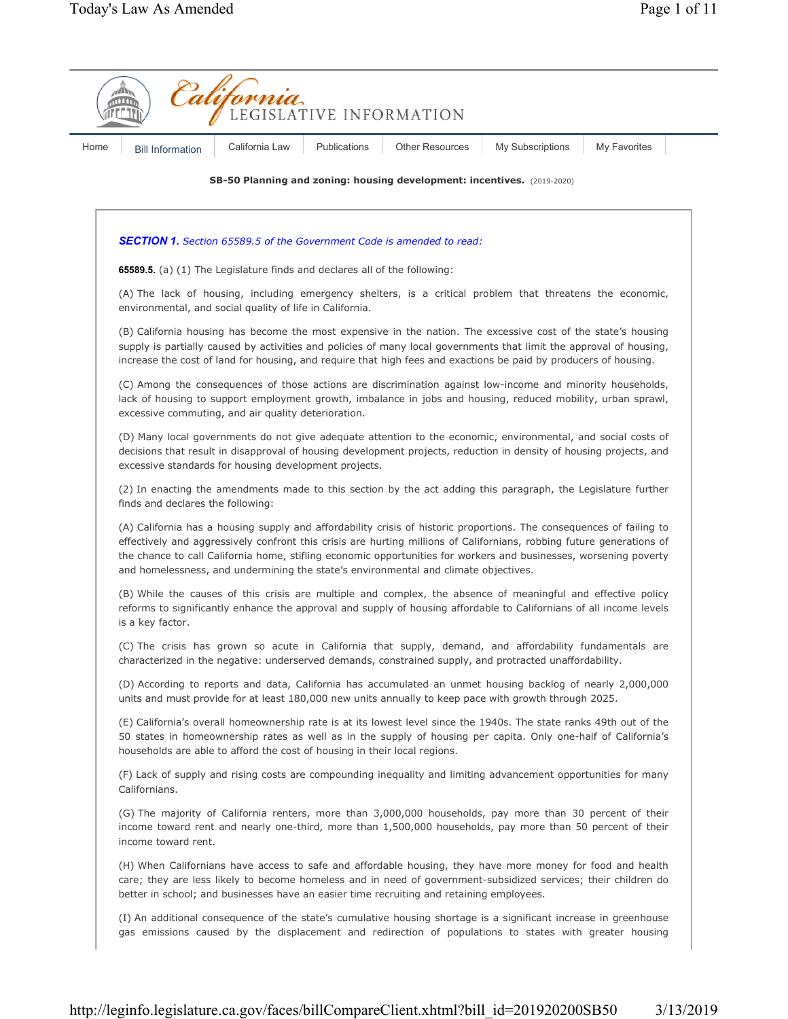|  | <b>Bill Information</b>                                                                                                                                                                                                                                                                                                                                                                                                                                                                                                                                                                                                                                                                        | California Law | Publications | <b>Other Resources</b>                                                                   | My Subscriptions                                                                                                                                                                                                                      | My Favorites |  |
|--|------------------------------------------------------------------------------------------------------------------------------------------------------------------------------------------------------------------------------------------------------------------------------------------------------------------------------------------------------------------------------------------------------------------------------------------------------------------------------------------------------------------------------------------------------------------------------------------------------------------------------------------------------------------------------------------------|----------------|--------------|------------------------------------------------------------------------------------------|---------------------------------------------------------------------------------------------------------------------------------------------------------------------------------------------------------------------------------------|--------------|--|
|  | SB-50 Planning and zoning: housing development: incentives. (2019-2020)                                                                                                                                                                                                                                                                                                                                                                                                                                                                                                                                                                                                                        |                |              |                                                                                          |                                                                                                                                                                                                                                       |              |  |
|  | <b>SECTION 1.</b> Section 65589.5 of the Government Code is amended to read:<br>65589.5. (a) (1) The Legislature finds and declares all of the following:<br>(A) The lack of housing, including emergency shelters, is a critical problem that threatens the economic,<br>environmental, and social quality of life in California.<br>(B) California housing has become the most expensive in the nation. The excessive cost of the state's housing<br>supply is partially caused by activities and policies of many local governments that limit the approval of housing,<br>increase the cost of land for housing, and require that high fees and exactions be paid by producers of housing. |                |              |                                                                                          |                                                                                                                                                                                                                                       |              |  |
|  |                                                                                                                                                                                                                                                                                                                                                                                                                                                                                                                                                                                                                                                                                                |                |              |                                                                                          |                                                                                                                                                                                                                                       |              |  |
|  |                                                                                                                                                                                                                                                                                                                                                                                                                                                                                                                                                                                                                                                                                                |                |              |                                                                                          |                                                                                                                                                                                                                                       |              |  |
|  |                                                                                                                                                                                                                                                                                                                                                                                                                                                                                                                                                                                                                                                                                                |                |              |                                                                                          |                                                                                                                                                                                                                                       |              |  |
|  | (C) Among the consequences of those actions are discrimination against low-income and minority households,<br>lack of housing to support employment growth, imbalance in jobs and housing, reduced mobility, urban sprawl,<br>excessive commuting, and air quality deterioration.                                                                                                                                                                                                                                                                                                                                                                                                              |                |              |                                                                                          |                                                                                                                                                                                                                                       |              |  |
|  | (D) Many local governments do not give adequate attention to the economic, environmental, and social costs of<br>decisions that result in disapproval of housing development projects, reduction in density of housing projects, and<br>excessive standards for housing development projects.                                                                                                                                                                                                                                                                                                                                                                                                  |                |              |                                                                                          |                                                                                                                                                                                                                                       |              |  |
|  | (2) In enacting the amendments made to this section by the act adding this paragraph, the Legislature further<br>finds and declares the following:                                                                                                                                                                                                                                                                                                                                                                                                                                                                                                                                             |                |              |                                                                                          |                                                                                                                                                                                                                                       |              |  |
|  | (A) California has a housing supply and affordability crisis of historic proportions. The consequences of failing to<br>effectively and aggressively confront this crisis are hurting millions of Californians, robbing future generations of<br>the chance to call California home, stifling economic opportunities for workers and businesses, worsening poverty<br>and homelessness, and undermining the state's environmental and climate objectives.                                                                                                                                                                                                                                      |                |              |                                                                                          |                                                                                                                                                                                                                                       |              |  |
|  | is a key factor.                                                                                                                                                                                                                                                                                                                                                                                                                                                                                                                                                                                                                                                                               |                |              |                                                                                          | (B) While the causes of this crisis are multiple and complex, the absence of meaningful and effective policy<br>reforms to significantly enhance the approval and supply of housing affordable to Californians of all income levels   |              |  |
|  |                                                                                                                                                                                                                                                                                                                                                                                                                                                                                                                                                                                                                                                                                                |                |              |                                                                                          | (C) The crisis has grown so acute in California that supply, demand, and affordability fundamentals are<br>characterized in the negative: underserved demands, constrained supply, and protracted unaffordability.                    |              |  |
|  |                                                                                                                                                                                                                                                                                                                                                                                                                                                                                                                                                                                                                                                                                                |                |              |                                                                                          | (D) According to reports and data, California has accumulated an unmet housing backlog of nearly 2,000,000<br>units and must provide for at least 180,000 new units annually to keep pace with growth through 2025.                   |              |  |
|  | households are able to afford the cost of housing in their local regions.                                                                                                                                                                                                                                                                                                                                                                                                                                                                                                                                                                                                                      |                |              |                                                                                          | (E) California's overall homeownership rate is at its lowest level since the 1940s. The state ranks 49th out of the<br>50 states in homeownership rates as well as in the supply of housing per capita. Only one-half of California's |              |  |
|  | Californians.                                                                                                                                                                                                                                                                                                                                                                                                                                                                                                                                                                                                                                                                                  |                |              |                                                                                          | (F) Lack of supply and rising costs are compounding inequality and limiting advancement opportunities for many                                                                                                                        |              |  |
|  | income toward rent.                                                                                                                                                                                                                                                                                                                                                                                                                                                                                                                                                                                                                                                                            |                |              |                                                                                          | (G) The majority of California renters, more than 3,000,000 households, pay more than 30 percent of their<br>income toward rent and nearly one-third, more than 1,500,000 households, pay more than 50 percent of their               |              |  |
|  |                                                                                                                                                                                                                                                                                                                                                                                                                                                                                                                                                                                                                                                                                                |                |              | better in school; and businesses have an easier time recruiting and retaining employees. | (H) When Californians have access to safe and affordable housing, they have more money for food and health<br>care; they are less likely to become homeless and in need of government-subsidized services; their children do          |              |  |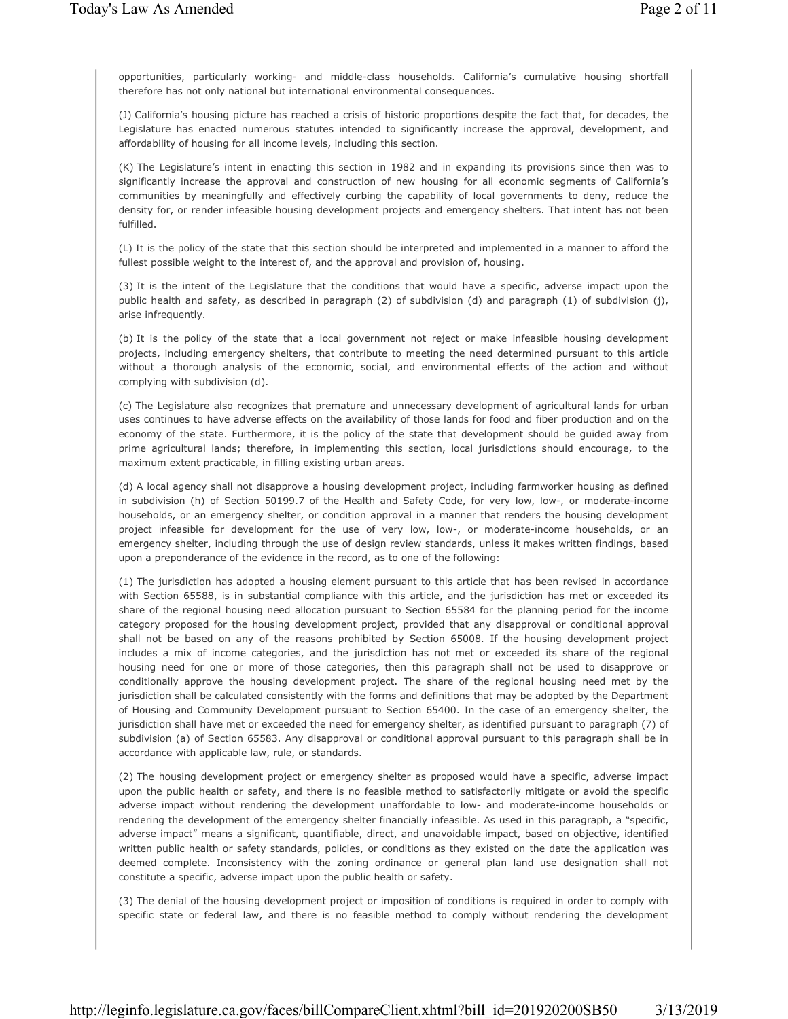opportunities, particularly working- and middle-class households. California's cumulative housing shortfall therefore has not only national but international environmental consequences.

(J) California's housing picture has reached a crisis of historic proportions despite the fact that, for decades, the Legislature has enacted numerous statutes intended to significantly increase the approval, development, and affordability of housing for all income levels, including this section.

(K) The Legislature's intent in enacting this section in 1982 and in expanding its provisions since then was to significantly increase the approval and construction of new housing for all economic segments of California's communities by meaningfully and effectively curbing the capability of local governments to deny, reduce the density for, or render infeasible housing development projects and emergency shelters. That intent has not been fulfilled.

(L) It is the policy of the state that this section should be interpreted and implemented in a manner to afford the fullest possible weight to the interest of, and the approval and provision of, housing.

(3) It is the intent of the Legislature that the conditions that would have a specific, adverse impact upon the public health and safety, as described in paragraph (2) of subdivision (d) and paragraph (1) of subdivision (j), arise infrequently.

(b) It is the policy of the state that a local government not reject or make infeasible housing development projects, including emergency shelters, that contribute to meeting the need determined pursuant to this article without a thorough analysis of the economic, social, and environmental effects of the action and without complying with subdivision (d).

(c) The Legislature also recognizes that premature and unnecessary development of agricultural lands for urban uses continues to have adverse effects on the availability of those lands for food and fiber production and on the economy of the state. Furthermore, it is the policy of the state that development should be guided away from prime agricultural lands; therefore, in implementing this section, local jurisdictions should encourage, to the maximum extent practicable, in filling existing urban areas.

(d) A local agency shall not disapprove a housing development project, including farmworker housing as defined in subdivision (h) of Section 50199.7 of the Health and Safety Code, for very low, low-, or moderate-income households, or an emergency shelter, or condition approval in a manner that renders the housing development project infeasible for development for the use of very low, low-, or moderate-income households, or an emergency shelter, including through the use of design review standards, unless it makes written findings, based upon a preponderance of the evidence in the record, as to one of the following:

(1) The jurisdiction has adopted a housing element pursuant to this article that has been revised in accordance with Section 65588, is in substantial compliance with this article, and the jurisdiction has met or exceeded its share of the regional housing need allocation pursuant to Section 65584 for the planning period for the income category proposed for the housing development project, provided that any disapproval or conditional approval shall not be based on any of the reasons prohibited by Section 65008. If the housing development project includes a mix of income categories, and the jurisdiction has not met or exceeded its share of the regional housing need for one or more of those categories, then this paragraph shall not be used to disapprove or conditionally approve the housing development project. The share of the regional housing need met by the jurisdiction shall be calculated consistently with the forms and definitions that may be adopted by the Department of Housing and Community Development pursuant to Section 65400. In the case of an emergency shelter, the jurisdiction shall have met or exceeded the need for emergency shelter, as identified pursuant to paragraph (7) of subdivision (a) of Section 65583. Any disapproval or conditional approval pursuant to this paragraph shall be in accordance with applicable law, rule, or standards.

(2) The housing development project or emergency shelter as proposed would have a specific, adverse impact upon the public health or safety, and there is no feasible method to satisfactorily mitigate or avoid the specific adverse impact without rendering the development unaffordable to low- and moderate-income households or rendering the development of the emergency shelter financially infeasible. As used in this paragraph, a "specific, adverse impact" means a significant, quantifiable, direct, and unavoidable impact, based on objective, identified written public health or safety standards, policies, or conditions as they existed on the date the application was deemed complete. Inconsistency with the zoning ordinance or general plan land use designation shall not constitute a specific, adverse impact upon the public health or safety.

(3) The denial of the housing development project or imposition of conditions is required in order to comply with specific state or federal law, and there is no feasible method to comply without rendering the development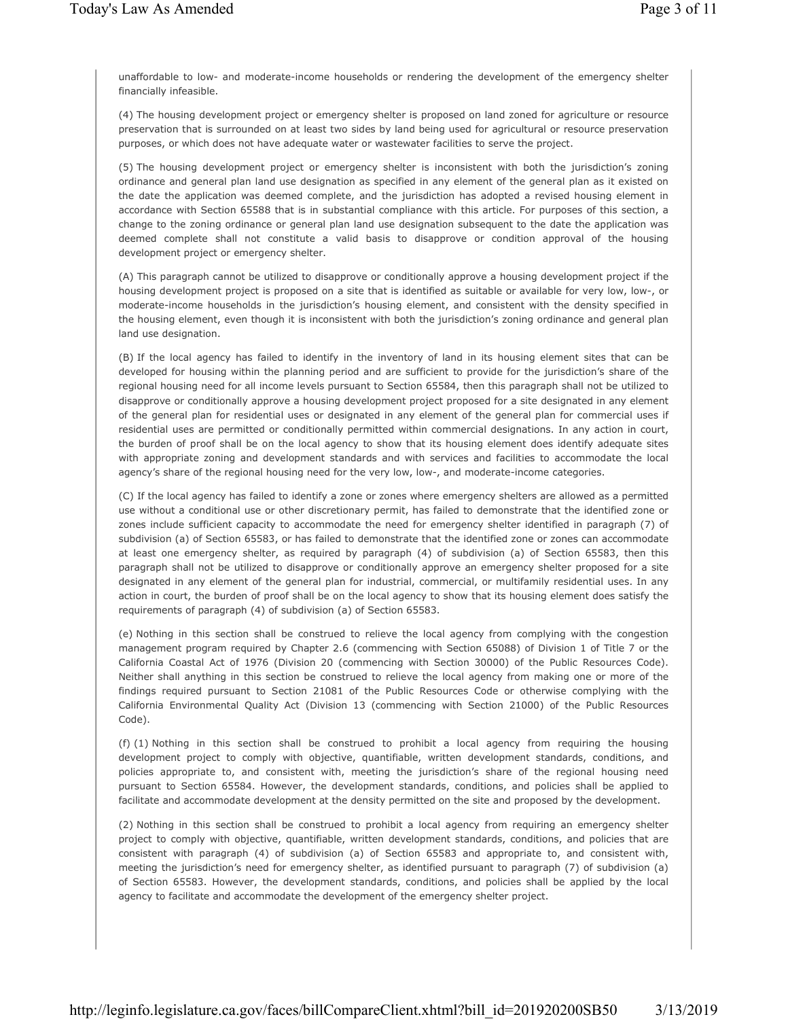unaffordable to low- and moderate-income households or rendering the development of the emergency shelter financially infeasible.

(4) The housing development project or emergency shelter is proposed on land zoned for agriculture or resource preservation that is surrounded on at least two sides by land being used for agricultural or resource preservation purposes, or which does not have adequate water or wastewater facilities to serve the project.

(5) The housing development project or emergency shelter is inconsistent with both the jurisdiction's zoning ordinance and general plan land use designation as specified in any element of the general plan as it existed on the date the application was deemed complete, and the jurisdiction has adopted a revised housing element in accordance with Section 65588 that is in substantial compliance with this article. For purposes of this section, a change to the zoning ordinance or general plan land use designation subsequent to the date the application was deemed complete shall not constitute a valid basis to disapprove or condition approval of the housing development project or emergency shelter.

(A) This paragraph cannot be utilized to disapprove or conditionally approve a housing development project if the housing development project is proposed on a site that is identified as suitable or available for very low, low-, or moderate-income households in the jurisdiction's housing element, and consistent with the density specified in the housing element, even though it is inconsistent with both the jurisdiction's zoning ordinance and general plan land use designation.

(B) If the local agency has failed to identify in the inventory of land in its housing element sites that can be developed for housing within the planning period and are sufficient to provide for the jurisdiction's share of the regional housing need for all income levels pursuant to Section 65584, then this paragraph shall not be utilized to disapprove or conditionally approve a housing development project proposed for a site designated in any element of the general plan for residential uses or designated in any element of the general plan for commercial uses if residential uses are permitted or conditionally permitted within commercial designations. In any action in court, the burden of proof shall be on the local agency to show that its housing element does identify adequate sites with appropriate zoning and development standards and with services and facilities to accommodate the local agency's share of the regional housing need for the very low, low-, and moderate-income categories.

(C) If the local agency has failed to identify a zone or zones where emergency shelters are allowed as a permitted use without a conditional use or other discretionary permit, has failed to demonstrate that the identified zone or zones include sufficient capacity to accommodate the need for emergency shelter identified in paragraph (7) of subdivision (a) of Section 65583, or has failed to demonstrate that the identified zone or zones can accommodate at least one emergency shelter, as required by paragraph (4) of subdivision (a) of Section 65583, then this paragraph shall not be utilized to disapprove or conditionally approve an emergency shelter proposed for a site designated in any element of the general plan for industrial, commercial, or multifamily residential uses. In any action in court, the burden of proof shall be on the local agency to show that its housing element does satisfy the requirements of paragraph (4) of subdivision (a) of Section 65583.

(e) Nothing in this section shall be construed to relieve the local agency from complying with the congestion management program required by Chapter 2.6 (commencing with Section 65088) of Division 1 of Title 7 or the California Coastal Act of 1976 (Division 20 (commencing with Section 30000) of the Public Resources Code). Neither shall anything in this section be construed to relieve the local agency from making one or more of the findings required pursuant to Section 21081 of the Public Resources Code or otherwise complying with the California Environmental Quality Act (Division 13 (commencing with Section 21000) of the Public Resources Code).

(f) (1) Nothing in this section shall be construed to prohibit a local agency from requiring the housing development project to comply with objective, quantifiable, written development standards, conditions, and policies appropriate to, and consistent with, meeting the jurisdiction's share of the regional housing need pursuant to Section 65584. However, the development standards, conditions, and policies shall be applied to facilitate and accommodate development at the density permitted on the site and proposed by the development.

(2) Nothing in this section shall be construed to prohibit a local agency from requiring an emergency shelter project to comply with objective, quantifiable, written development standards, conditions, and policies that are consistent with paragraph (4) of subdivision (a) of Section 65583 and appropriate to, and consistent with, meeting the jurisdiction's need for emergency shelter, as identified pursuant to paragraph (7) of subdivision (a) of Section 65583. However, the development standards, conditions, and policies shall be applied by the local agency to facilitate and accommodate the development of the emergency shelter project.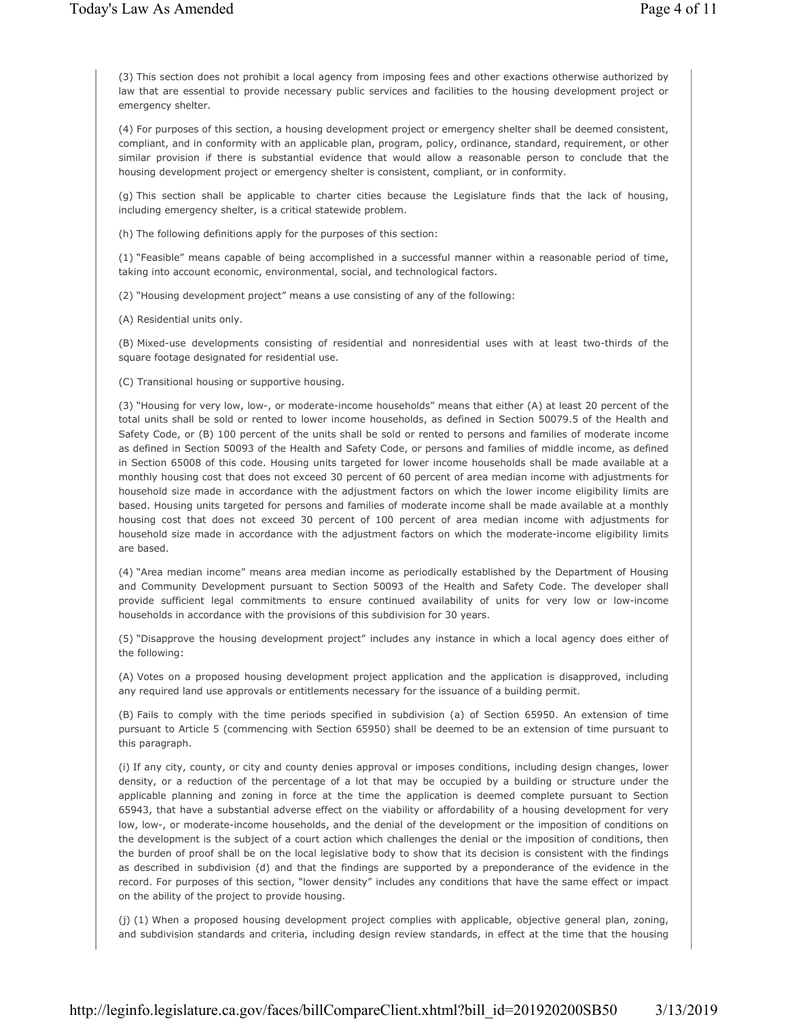(3) This section does not prohibit a local agency from imposing fees and other exactions otherwise authorized by law that are essential to provide necessary public services and facilities to the housing development project or emergency shelter.

(4) For purposes of this section, a housing development project or emergency shelter shall be deemed consistent, compliant, and in conformity with an applicable plan, program, policy, ordinance, standard, requirement, or other similar provision if there is substantial evidence that would allow a reasonable person to conclude that the housing development project or emergency shelter is consistent, compliant, or in conformity.

(g) This section shall be applicable to charter cities because the Legislature finds that the lack of housing, including emergency shelter, is a critical statewide problem.

(h) The following definitions apply for the purposes of this section:

(1) "Feasible" means capable of being accomplished in a successful manner within a reasonable period of time, taking into account economic, environmental, social, and technological factors.

(2) "Housing development project" means a use consisting of any of the following:

(A) Residential units only.

(B) Mixed-use developments consisting of residential and nonresidential uses with at least two-thirds of the square footage designated for residential use.

(C) Transitional housing or supportive housing.

(3) "Housing for very low, low-, or moderate-income households" means that either (A) at least 20 percent of the total units shall be sold or rented to lower income households, as defined in Section 50079.5 of the Health and Safety Code, or (B) 100 percent of the units shall be sold or rented to persons and families of moderate income as defined in Section 50093 of the Health and Safety Code, or persons and families of middle income, as defined in Section 65008 of this code. Housing units targeted for lower income households shall be made available at a monthly housing cost that does not exceed 30 percent of 60 percent of area median income with adjustments for household size made in accordance with the adjustment factors on which the lower income eligibility limits are based. Housing units targeted for persons and families of moderate income shall be made available at a monthly housing cost that does not exceed 30 percent of 100 percent of area median income with adjustments for household size made in accordance with the adjustment factors on which the moderate-income eligibility limits are based.

(4) "Area median income" means area median income as periodically established by the Department of Housing and Community Development pursuant to Section 50093 of the Health and Safety Code. The developer shall provide sufficient legal commitments to ensure continued availability of units for very low or low-income households in accordance with the provisions of this subdivision for 30 years.

(5) "Disapprove the housing development project" includes any instance in which a local agency does either of the following:

(A) Votes on a proposed housing development project application and the application is disapproved, including any required land use approvals or entitlements necessary for the issuance of a building permit.

(B) Fails to comply with the time periods specified in subdivision (a) of Section 65950. An extension of time pursuant to Article 5 (commencing with Section 65950) shall be deemed to be an extension of time pursuant to this paragraph.

(i) If any city, county, or city and county denies approval or imposes conditions, including design changes, lower density, or a reduction of the percentage of a lot that may be occupied by a building or structure under the applicable planning and zoning in force at the time the application is deemed complete pursuant to Section 65943, that have a substantial adverse effect on the viability or affordability of a housing development for very low, low-, or moderate-income households, and the denial of the development or the imposition of conditions on the development is the subject of a court action which challenges the denial or the imposition of conditions, then the burden of proof shall be on the local legislative body to show that its decision is consistent with the findings as described in subdivision (d) and that the findings are supported by a preponderance of the evidence in the record. For purposes of this section, "lower density" includes any conditions that have the same effect or impact on the ability of the project to provide housing.

(j) (1) When a proposed housing development project complies with applicable, objective general plan, zoning, and subdivision standards and criteria, including design review standards, in effect at the time that the housing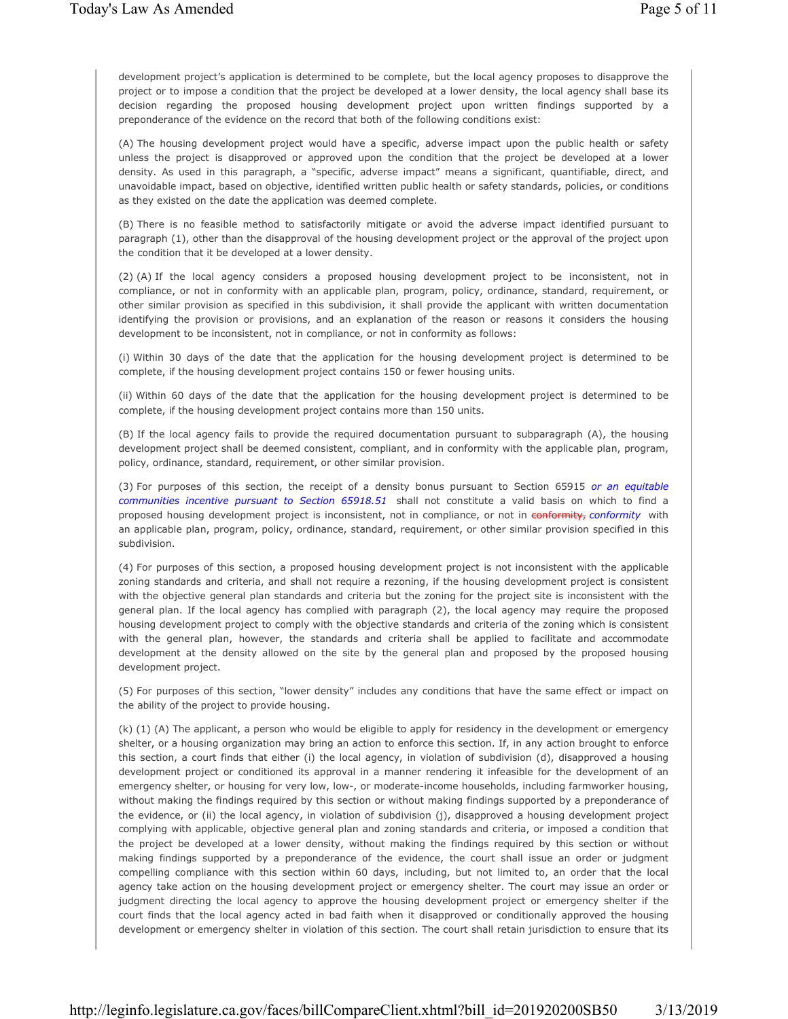development project's application is determined to be complete, but the local agency proposes to disapprove the project or to impose a condition that the project be developed at a lower density, the local agency shall base its decision regarding the proposed housing development project upon written findings supported by a preponderance of the evidence on the record that both of the following conditions exist:

(A) The housing development project would have a specific, adverse impact upon the public health or safety unless the project is disapproved or approved upon the condition that the project be developed at a lower density. As used in this paragraph, a "specific, adverse impact" means a significant, quantifiable, direct, and unavoidable impact, based on objective, identified written public health or safety standards, policies, or conditions as they existed on the date the application was deemed complete.

(B) There is no feasible method to satisfactorily mitigate or avoid the adverse impact identified pursuant to paragraph (1), other than the disapproval of the housing development project or the approval of the project upon the condition that it be developed at a lower density.

(2) (A) If the local agency considers a proposed housing development project to be inconsistent, not in compliance, or not in conformity with an applicable plan, program, policy, ordinance, standard, requirement, or other similar provision as specified in this subdivision, it shall provide the applicant with written documentation identifying the provision or provisions, and an explanation of the reason or reasons it considers the housing development to be inconsistent, not in compliance, or not in conformity as follows:

(i) Within 30 days of the date that the application for the housing development project is determined to be complete, if the housing development project contains 150 or fewer housing units.

(ii) Within 60 days of the date that the application for the housing development project is determined to be complete, if the housing development project contains more than 150 units.

(B) If the local agency fails to provide the required documentation pursuant to subparagraph (A), the housing development project shall be deemed consistent, compliant, and in conformity with the applicable plan, program, policy, ordinance, standard, requirement, or other similar provision.

(3) For purposes of this section, the receipt of a density bonus pursuant to Section 65915 *or an equitable communities incentive pursuant to Section 65918.51* shall not constitute a valid basis on which to find a proposed housing development project is inconsistent, not in compliance, or not in conformity, *conformity* with an applicable plan, program, policy, ordinance, standard, requirement, or other similar provision specified in this subdivision.

(4) For purposes of this section, a proposed housing development project is not inconsistent with the applicable zoning standards and criteria, and shall not require a rezoning, if the housing development project is consistent with the objective general plan standards and criteria but the zoning for the project site is inconsistent with the general plan. If the local agency has complied with paragraph (2), the local agency may require the proposed housing development project to comply with the objective standards and criteria of the zoning which is consistent with the general plan, however, the standards and criteria shall be applied to facilitate and accommodate development at the density allowed on the site by the general plan and proposed by the proposed housing development project.

(5) For purposes of this section, "lower density" includes any conditions that have the same effect or impact on the ability of the project to provide housing.

(k) (1) (A) The applicant, a person who would be eligible to apply for residency in the development or emergency shelter, or a housing organization may bring an action to enforce this section. If, in any action brought to enforce this section, a court finds that either (i) the local agency, in violation of subdivision (d), disapproved a housing development project or conditioned its approval in a manner rendering it infeasible for the development of an emergency shelter, or housing for very low, low-, or moderate-income households, including farmworker housing, without making the findings required by this section or without making findings supported by a preponderance of the evidence, or (ii) the local agency, in violation of subdivision (j), disapproved a housing development project complying with applicable, objective general plan and zoning standards and criteria, or imposed a condition that the project be developed at a lower density, without making the findings required by this section or without making findings supported by a preponderance of the evidence, the court shall issue an order or judgment compelling compliance with this section within 60 days, including, but not limited to, an order that the local agency take action on the housing development project or emergency shelter. The court may issue an order or judgment directing the local agency to approve the housing development project or emergency shelter if the court finds that the local agency acted in bad faith when it disapproved or conditionally approved the housing development or emergency shelter in violation of this section. The court shall retain jurisdiction to ensure that its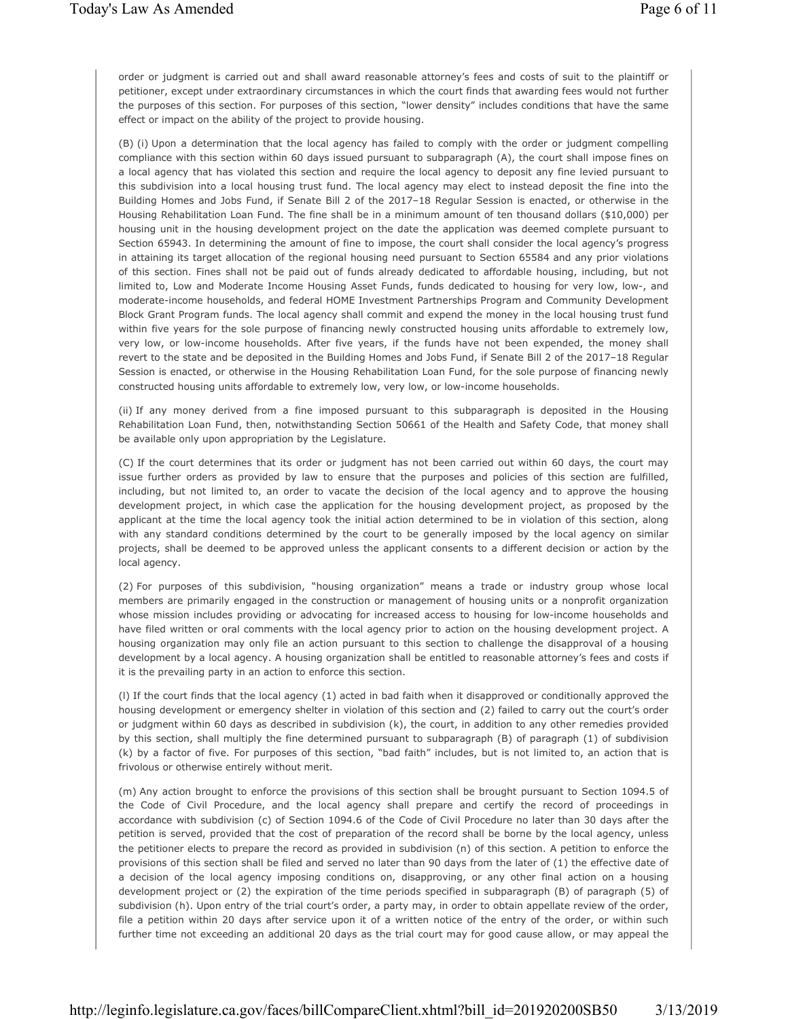order or judgment is carried out and shall award reasonable attorney's fees and costs of suit to the plaintiff or petitioner, except under extraordinary circumstances in which the court finds that awarding fees would not further the purposes of this section. For purposes of this section, "lower density" includes conditions that have the same effect or impact on the ability of the project to provide housing.

(B) (i) Upon a determination that the local agency has failed to comply with the order or judgment compelling compliance with this section within 60 days issued pursuant to subparagraph (A), the court shall impose fines on a local agency that has violated this section and require the local agency to deposit any fine levied pursuant to this subdivision into a local housing trust fund. The local agency may elect to instead deposit the fine into the Building Homes and Jobs Fund, if Senate Bill 2 of the 2017–18 Regular Session is enacted, or otherwise in the Housing Rehabilitation Loan Fund. The fine shall be in a minimum amount of ten thousand dollars (\$10,000) per housing unit in the housing development project on the date the application was deemed complete pursuant to Section 65943. In determining the amount of fine to impose, the court shall consider the local agency's progress in attaining its target allocation of the regional housing need pursuant to Section 65584 and any prior violations of this section. Fines shall not be paid out of funds already dedicated to affordable housing, including, but not limited to, Low and Moderate Income Housing Asset Funds, funds dedicated to housing for very low, low-, and moderate-income households, and federal HOME Investment Partnerships Program and Community Development Block Grant Program funds. The local agency shall commit and expend the money in the local housing trust fund within five years for the sole purpose of financing newly constructed housing units affordable to extremely low, very low, or low-income households. After five years, if the funds have not been expended, the money shall revert to the state and be deposited in the Building Homes and Jobs Fund, if Senate Bill 2 of the 2017–18 Regular Session is enacted, or otherwise in the Housing Rehabilitation Loan Fund, for the sole purpose of financing newly constructed housing units affordable to extremely low, very low, or low-income households.

(ii) If any money derived from a fine imposed pursuant to this subparagraph is deposited in the Housing Rehabilitation Loan Fund, then, notwithstanding Section 50661 of the Health and Safety Code, that money shall be available only upon appropriation by the Legislature.

(C) If the court determines that its order or judgment has not been carried out within 60 days, the court may issue further orders as provided by law to ensure that the purposes and policies of this section are fulfilled, including, but not limited to, an order to vacate the decision of the local agency and to approve the housing development project, in which case the application for the housing development project, as proposed by the applicant at the time the local agency took the initial action determined to be in violation of this section, along with any standard conditions determined by the court to be generally imposed by the local agency on similar projects, shall be deemed to be approved unless the applicant consents to a different decision or action by the local agency.

(2) For purposes of this subdivision, "housing organization" means a trade or industry group whose local members are primarily engaged in the construction or management of housing units or a nonprofit organization whose mission includes providing or advocating for increased access to housing for low-income households and have filed written or oral comments with the local agency prior to action on the housing development project. A housing organization may only file an action pursuant to this section to challenge the disapproval of a housing development by a local agency. A housing organization shall be entitled to reasonable attorney's fees and costs if it is the prevailing party in an action to enforce this section.

(l) If the court finds that the local agency (1) acted in bad faith when it disapproved or conditionally approved the housing development or emergency shelter in violation of this section and (2) failed to carry out the court's order or judgment within 60 days as described in subdivision (k), the court, in addition to any other remedies provided by this section, shall multiply the fine determined pursuant to subparagraph (B) of paragraph (1) of subdivision (k) by a factor of five. For purposes of this section, "bad faith" includes, but is not limited to, an action that is frivolous or otherwise entirely without merit.

(m) Any action brought to enforce the provisions of this section shall be brought pursuant to Section 1094.5 of the Code of Civil Procedure, and the local agency shall prepare and certify the record of proceedings in accordance with subdivision (c) of Section 1094.6 of the Code of Civil Procedure no later than 30 days after the petition is served, provided that the cost of preparation of the record shall be borne by the local agency, unless the petitioner elects to prepare the record as provided in subdivision (n) of this section. A petition to enforce the provisions of this section shall be filed and served no later than 90 days from the later of (1) the effective date of a decision of the local agency imposing conditions on, disapproving, or any other final action on a housing development project or (2) the expiration of the time periods specified in subparagraph (B) of paragraph (5) of subdivision (h). Upon entry of the trial court's order, a party may, in order to obtain appellate review of the order, file a petition within 20 days after service upon it of a written notice of the entry of the order, or within such further time not exceeding an additional 20 days as the trial court may for good cause allow, or may appeal the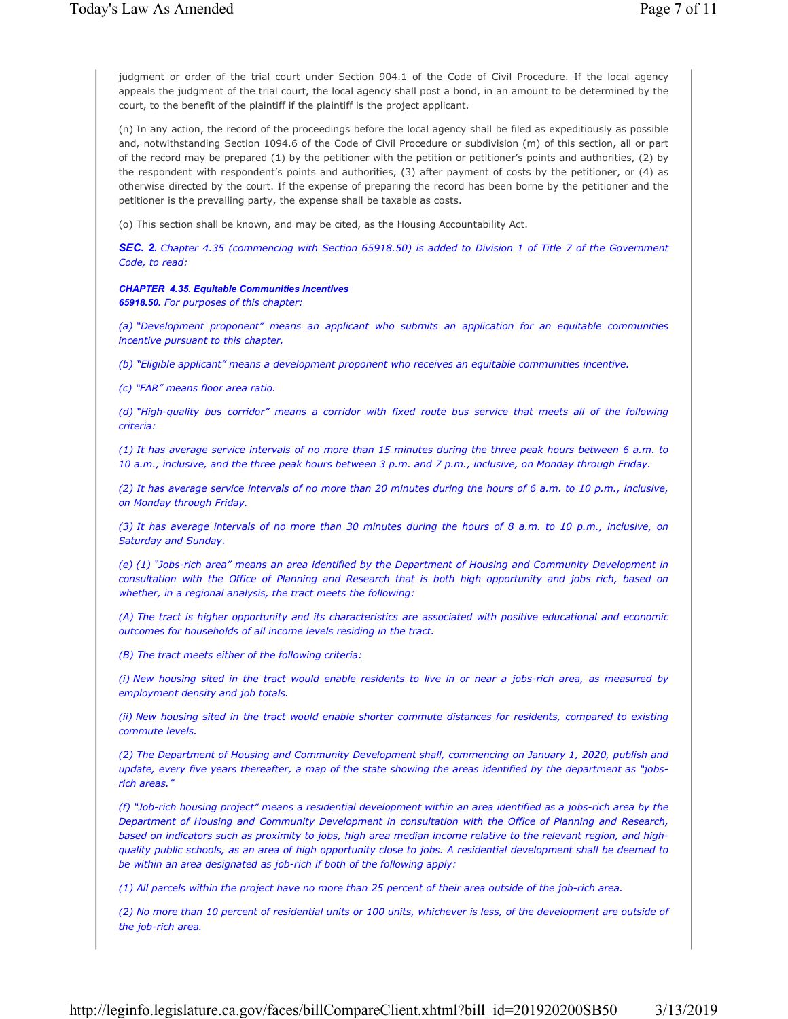judgment or order of the trial court under Section 904.1 of the Code of Civil Procedure. If the local agency appeals the judgment of the trial court, the local agency shall post a bond, in an amount to be determined by the court, to the benefit of the plaintiff if the plaintiff is the project applicant.

(n) In any action, the record of the proceedings before the local agency shall be filed as expeditiously as possible and, notwithstanding Section 1094.6 of the Code of Civil Procedure or subdivision (m) of this section, all or part of the record may be prepared (1) by the petitioner with the petition or petitioner's points and authorities, (2) by the respondent with respondent's points and authorities, (3) after payment of costs by the petitioner, or (4) as otherwise directed by the court. If the expense of preparing the record has been borne by the petitioner and the petitioner is the prevailing party, the expense shall be taxable as costs.

(o) This section shall be known, and may be cited, as the Housing Accountability Act.

*SEC. 2. Chapter 4.35 (commencing with Section 65918.50) is added to Division 1 of Title 7 of the Government Code, to read:*

## *CHAPTER 4.35. Equitable Communities Incentives*

*65918.50. For purposes of this chapter:*

*(a) "Development proponent" means an applicant who submits an application for an equitable communities incentive pursuant to this chapter.* 

*(b) "Eligible applicant" means a development proponent who receives an equitable communities incentive.* 

*(c) "FAR" means floor area ratio.* 

*(d) "High-quality bus corridor" means a corridor with fixed route bus service that meets all of the following criteria:*

*(1) It has average service intervals of no more than 15 minutes during the three peak hours between 6 a.m. to 10 a.m., inclusive, and the three peak hours between 3 p.m. and 7 p.m., inclusive, on Monday through Friday.*

*(2) It has average service intervals of no more than 20 minutes during the hours of 6 a.m. to 10 p.m., inclusive, on Monday through Friday.*

*(3) It has average intervals of no more than 30 minutes during the hours of 8 a.m. to 10 p.m., inclusive, on Saturday and Sunday.*

*(e) (1) "Jobs-rich area" means an area identified by the Department of Housing and Community Development in consultation with the Office of Planning and Research that is both high opportunity and jobs rich, based on whether, in a regional analysis, the tract meets the following:*

*(A) The tract is higher opportunity and its characteristics are associated with positive educational and economic outcomes for households of all income levels residing in the tract.*

*(B) The tract meets either of the following criteria:*

*(i) New housing sited in the tract would enable residents to live in or near a jobs-rich area, as measured by employment density and job totals.*

*(ii) New housing sited in the tract would enable shorter commute distances for residents, compared to existing commute levels.*

*(2) The Department of Housing and Community Development shall, commencing on January 1, 2020, publish and update, every five years thereafter, a map of the state showing the areas identified by the department as "jobsrich areas."*

*(f) "Job-rich housing project" means a residential development within an area identified as a jobs-rich area by the Department of Housing and Community Development in consultation with the Office of Planning and Research, based on indicators such as proximity to jobs, high area median income relative to the relevant region, and highquality public schools, as an area of high opportunity close to jobs. A residential development shall be deemed to be within an area designated as job-rich if both of the following apply:*

*(1) All parcels within the project have no more than 25 percent of their area outside of the job-rich area.*

*(2) No more than 10 percent of residential units or 100 units, whichever is less, of the development are outside of the job-rich area.*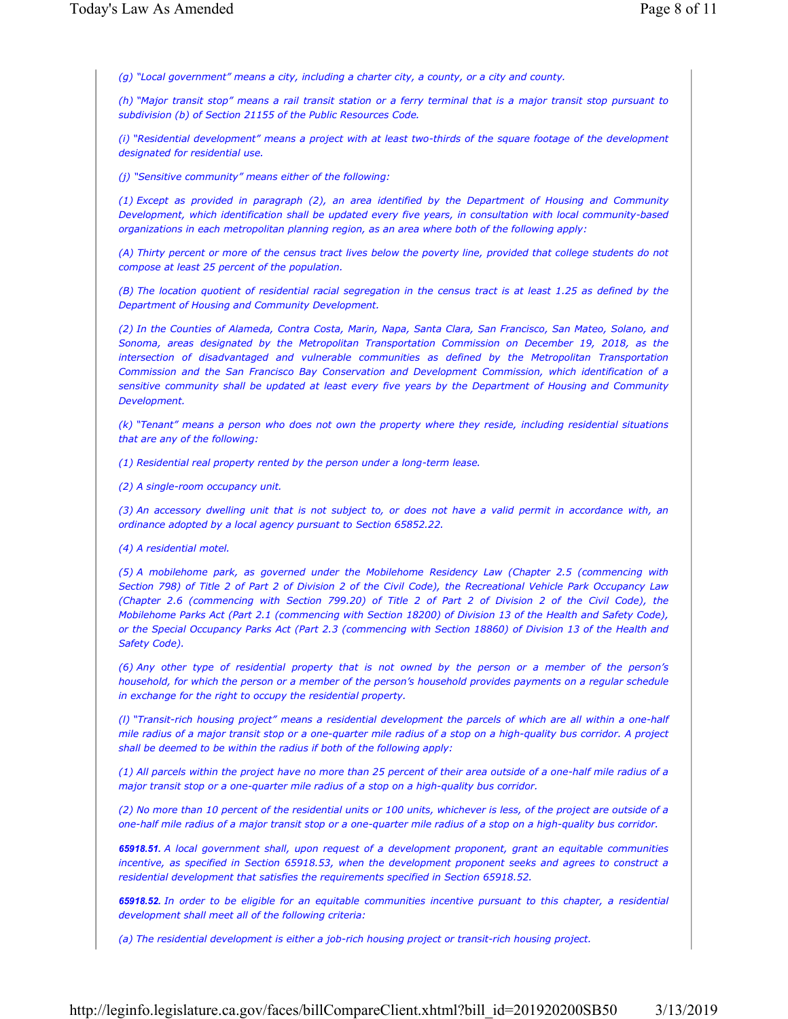*(g) "Local government" means a city, including a charter city, a county, or a city and county.* 

*(h) "Major transit stop" means a rail transit station or a ferry terminal that is a major transit stop pursuant to subdivision (b) of Section 21155 of the Public Resources Code.*

*(i) "Residential development" means a project with at least two-thirds of the square footage of the development designated for residential use.* 

*(j) "Sensitive community" means either of the following:*

*(1) Except as provided in paragraph (2), an area identified by the Department of Housing and Community Development, which identification shall be updated every five years, in consultation with local community-based organizations in each metropolitan planning region, as an area where both of the following apply:*

*(A) Thirty percent or more of the census tract lives below the poverty line, provided that college students do not compose at least 25 percent of the population.*

*(B) The location quotient of residential racial segregation in the census tract is at least 1.25 as defined by the Department of Housing and Community Development.*

*(2) In the Counties of Alameda, Contra Costa, Marin, Napa, Santa Clara, San Francisco, San Mateo, Solano, and Sonoma, areas designated by the Metropolitan Transportation Commission on December 19, 2018, as the intersection of disadvantaged and vulnerable communities as defined by the Metropolitan Transportation Commission and the San Francisco Bay Conservation and Development Commission, which identification of a sensitive community shall be updated at least every five years by the Department of Housing and Community Development.*

*(k) "Tenant" means a person who does not own the property where they reside, including residential situations that are any of the following:*

*(1) Residential real property rented by the person under a long-term lease.*

*(2) A single-room occupancy unit.*

*(3) An accessory dwelling unit that is not subject to, or does not have a valid permit in accordance with, an ordinance adopted by a local agency pursuant to Section 65852.22.*

*(4) A residential motel.*

*(5) A mobilehome park, as governed under the Mobilehome Residency Law (Chapter 2.5 (commencing with Section 798) of Title 2 of Part 2 of Division 2 of the Civil Code), the Recreational Vehicle Park Occupancy Law (Chapter 2.6 (commencing with Section 799.20) of Title 2 of Part 2 of Division 2 of the Civil Code), the Mobilehome Parks Act (Part 2.1 (commencing with Section 18200) of Division 13 of the Health and Safety Code), or the Special Occupancy Parks Act (Part 2.3 (commencing with Section 18860) of Division 13 of the Health and Safety Code).*

*(6) Any other type of residential property that is not owned by the person or a member of the person's household, for which the person or a member of the person's household provides payments on a regular schedule in exchange for the right to occupy the residential property.*

*(l) "Transit-rich housing project" means a residential development the parcels of which are all within a one-half mile radius of a major transit stop or a one-quarter mile radius of a stop on a high-quality bus corridor. A project shall be deemed to be within the radius if both of the following apply:*

*(1) All parcels within the project have no more than 25 percent of their area outside of a one-half mile radius of a major transit stop or a one-quarter mile radius of a stop on a high-quality bus corridor.*

*(2) No more than 10 percent of the residential units or 100 units, whichever is less, of the project are outside of a one-half mile radius of a major transit stop or a one-quarter mile radius of a stop on a high-quality bus corridor.* 

*65918.51. A local government shall, upon request of a development proponent, grant an equitable communities incentive, as specified in Section 65918.53, when the development proponent seeks and agrees to construct a residential development that satisfies the requirements specified in Section 65918.52.*

*65918.52. In order to be eligible for an equitable communities incentive pursuant to this chapter, a residential development shall meet all of the following criteria:*

*(a) The residential development is either a job-rich housing project or transit-rich housing project.*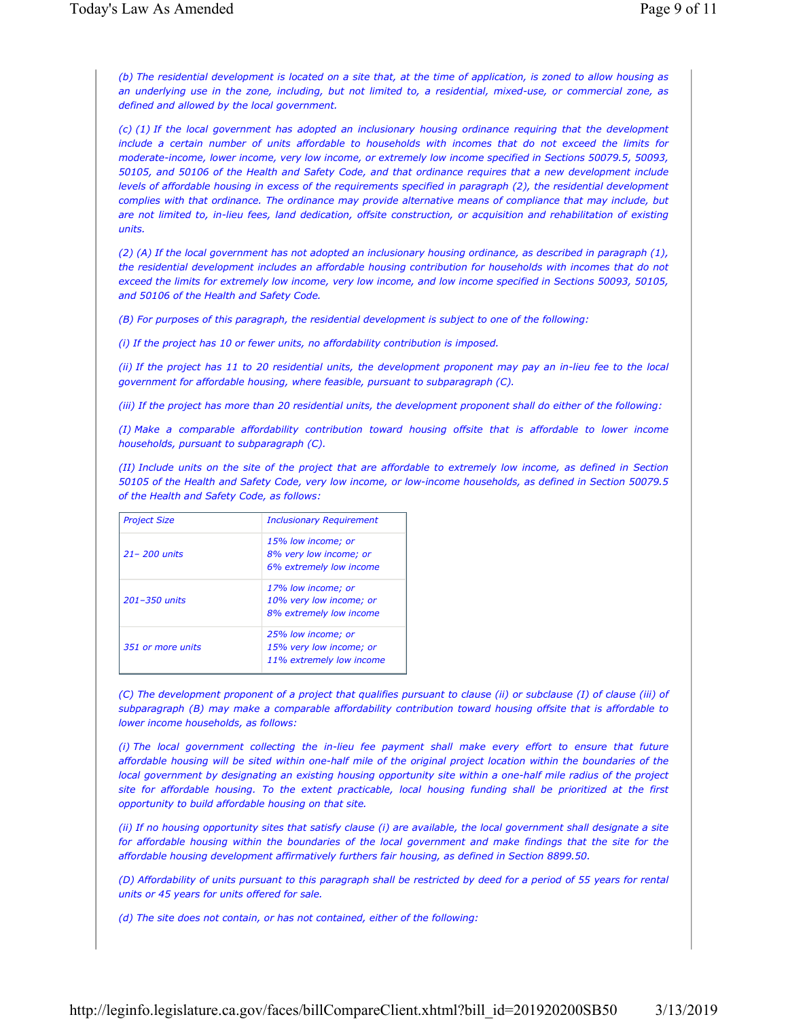*(b) The residential development is located on a site that, at the time of application, is zoned to allow housing as an underlying use in the zone, including, but not limited to, a residential, mixed-use, or commercial zone, as defined and allowed by the local government.*

*(c) (1) If the local government has adopted an inclusionary housing ordinance requiring that the development include a certain number of units affordable to households with incomes that do not exceed the limits for moderate-income, lower income, very low income, or extremely low income specified in Sections 50079.5, 50093, 50105, and 50106 of the Health and Safety Code, and that ordinance requires that a new development include levels of affordable housing in excess of the requirements specified in paragraph (2), the residential development complies with that ordinance. The ordinance may provide alternative means of compliance that may include, but are not limited to, in-lieu fees, land dedication, offsite construction, or acquisition and rehabilitation of existing units.*

*(2) (A) If the local government has not adopted an inclusionary housing ordinance, as described in paragraph (1), the residential development includes an affordable housing contribution for households with incomes that do not exceed the limits for extremely low income, very low income, and low income specified in Sections 50093, 50105, and 50106 of the Health and Safety Code.*

*(B) For purposes of this paragraph, the residential development is subject to one of the following:*

*(i) If the project has 10 or fewer units, no affordability contribution is imposed.*

*(ii) If the project has 11 to 20 residential units, the development proponent may pay an in-lieu fee to the local government for affordable housing, where feasible, pursuant to subparagraph (C).*

*(iii) If the project has more than 20 residential units, the development proponent shall do either of the following:*

*(I) Make a comparable affordability contribution toward housing offsite that is affordable to lower income households, pursuant to subparagraph (C).*

*(II) Include units on the site of the project that are affordable to extremely low income, as defined in Section 50105 of the Health and Safety Code, very low income, or low-income households, as defined in Section 50079.5 of the Health and Safety Code, as follows:*

| <b>Project Size</b> | <b>Inclusionary Requirement</b>                                           |  |  |
|---------------------|---------------------------------------------------------------------------|--|--|
| $21 - 200$ units    | 15% low income; or<br>8% very low income; or<br>6% extremely low income   |  |  |
| 201-350 units       | 17% low income; or<br>10% very low income; or<br>8% extremely low income  |  |  |
| 351 or more units   | 25% low income; or<br>15% very low income; or<br>11% extremely low income |  |  |

*(C) The development proponent of a project that qualifies pursuant to clause (ii) or subclause (I) of clause (iii) of subparagraph (B) may make a comparable affordability contribution toward housing offsite that is affordable to lower income households, as follows:* 

*(i) The local government collecting the in-lieu fee payment shall make every effort to ensure that future affordable housing will be sited within one-half mile of the original project location within the boundaries of the local government by designating an existing housing opportunity site within a one-half mile radius of the project site for affordable housing. To the extent practicable, local housing funding shall be prioritized at the first opportunity to build affordable housing on that site.*

*(ii) If no housing opportunity sites that satisfy clause (i) are available, the local government shall designate a site*  for affordable housing within the boundaries of the local government and make findings that the site for the *affordable housing development affirmatively furthers fair housing, as defined in Section 8899.50.*

*(D) Affordability of units pursuant to this paragraph shall be restricted by deed for a period of 55 years for rental units or 45 years for units offered for sale.*

*(d) The site does not contain, or has not contained, either of the following:*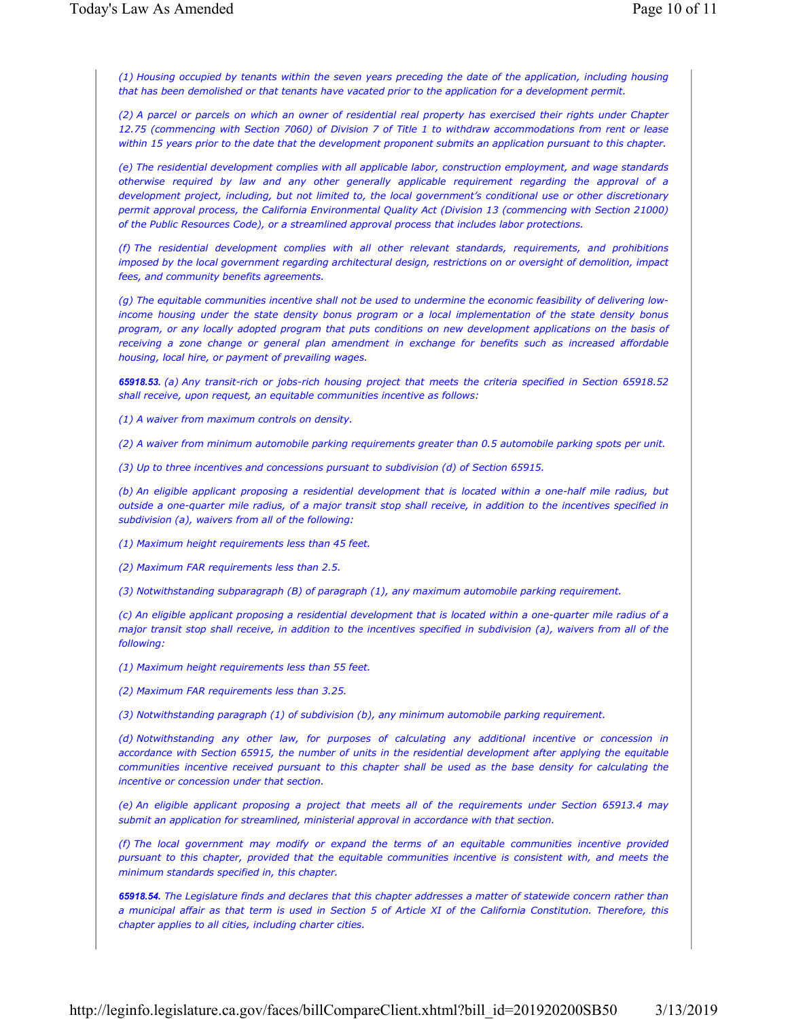*(1) Housing occupied by tenants within the seven years preceding the date of the application, including housing that has been demolished or that tenants have vacated prior to the application for a development permit.*

*(2) A parcel or parcels on which an owner of residential real property has exercised their rights under Chapter 12.75 (commencing with Section 7060) of Division 7 of Title 1 to withdraw accommodations from rent or lease within 15 years prior to the date that the development proponent submits an application pursuant to this chapter.*

*(e) The residential development complies with all applicable labor, construction employment, and wage standards otherwise required by law and any other generally applicable requirement regarding the approval of a development project, including, but not limited to, the local government's conditional use or other discretionary permit approval process, the California Environmental Quality Act (Division 13 (commencing with Section 21000) of the Public Resources Code), or a streamlined approval process that includes labor protections.*

*(f) The residential development complies with all other relevant standards, requirements, and prohibitions imposed by the local government regarding architectural design, restrictions on or oversight of demolition, impact fees, and community benefits agreements.*

*(g) The equitable communities incentive shall not be used to undermine the economic feasibility of delivering lowincome housing under the state density bonus program or a local implementation of the state density bonus program, or any locally adopted program that puts conditions on new development applications on the basis of receiving a zone change or general plan amendment in exchange for benefits such as increased affordable housing, local hire, or payment of prevailing wages.*

*65918.53. (a) Any transit-rich or jobs-rich housing project that meets the criteria specified in Section 65918.52 shall receive, upon request, an equitable communities incentive as follows:*

*(1) A waiver from maximum controls on density.*

*(2) A waiver from minimum automobile parking requirements greater than 0.5 automobile parking spots per unit.*

*(3) Up to three incentives and concessions pursuant to subdivision (d) of Section 65915.*

*(b) An eligible applicant proposing a residential development that is located within a one-half mile radius, but outside a one-quarter mile radius, of a major transit stop shall receive, in addition to the incentives specified in subdivision (a), waivers from all of the following:*

*(1) Maximum height requirements less than 45 feet.*

*(2) Maximum FAR requirements less than 2.5.*

*(3) Notwithstanding subparagraph (B) of paragraph (1), any maximum automobile parking requirement.*

*(c) An eligible applicant proposing a residential development that is located within a one-quarter mile radius of a major transit stop shall receive, in addition to the incentives specified in subdivision (a), waivers from all of the following:*

*(1) Maximum height requirements less than 55 feet.*

*(2) Maximum FAR requirements less than 3.25.*

*(3) Notwithstanding paragraph (1) of subdivision (b), any minimum automobile parking requirement.*

*(d) Notwithstanding any other law, for purposes of calculating any additional incentive or concession in accordance with Section 65915, the number of units in the residential development after applying the equitable communities incentive received pursuant to this chapter shall be used as the base density for calculating the incentive or concession under that section.*

*(e) An eligible applicant proposing a project that meets all of the requirements under Section 65913.4 may submit an application for streamlined, ministerial approval in accordance with that section.*

*(f) The local government may modify or expand the terms of an equitable communities incentive provided pursuant to this chapter, provided that the equitable communities incentive is consistent with, and meets the minimum standards specified in, this chapter.*

*65918.54. The Legislature finds and declares that this chapter addresses a matter of statewide concern rather than a municipal affair as that term is used in Section 5 of Article XI of the California Constitution. Therefore, this chapter applies to all cities, including charter cities.*